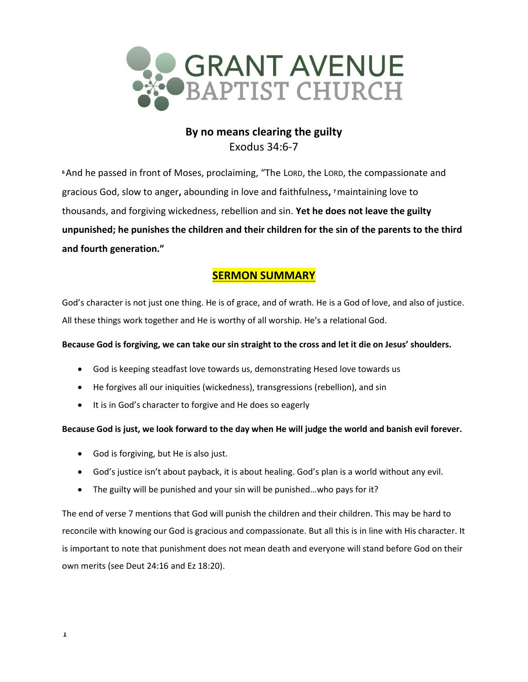

# **By no means clearing the guilty** Exodus 34:6-7

**<sup>6</sup>**And he passed in front of Moses, proclaiming, "The LORD, the LORD, the compassionate and gracious God, slow to anger**,** abounding in love and faithfulness**, <sup>7</sup>**maintaining love to thousands, and forgiving wickedness, rebellion and sin. **Yet he does not leave the guilty unpunished; he punishes the children and their children for the sin of the parents to the third and fourth generation."**

# **SERMON SUMMARY**

God's character is not just one thing. He is of grace, and of wrath. He is a God of love, and also of justice. All these things work together and He is worthy of all worship. He's a relational God.

## **Because God is forgiving, we can take our sin straight to the cross and let it die on Jesus' shoulders.**

- God is keeping steadfast love towards us, demonstrating Hesed love towards us
- He forgives all our iniquities (wickedness), transgressions (rebellion), and sin
- It is in God's character to forgive and He does so eagerly

## **Because God is just, we look forward to the day when He will judge the world and banish evil forever.**

- God is forgiving, but He is also just.
- God's justice isn't about payback, it is about healing. God's plan is a world without any evil.
- The guilty will be punished and your sin will be punished…who pays for it?

The end of verse 7 mentions that God will punish the children and their children. This may be hard to reconcile with knowing our God is gracious and compassionate. But all this is in line with His character. It is important to note that punishment does not mean death and everyone will stand before God on their own merits (see Deut 24:16 and Ez 18:20).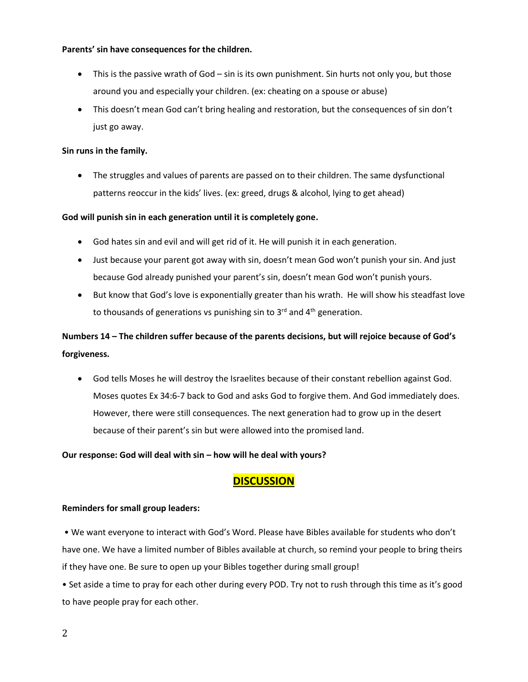#### **Parents' sin have consequences for the children.**

- This is the passive wrath of God sin is its own punishment. Sin hurts not only you, but those around you and especially your children. (ex: cheating on a spouse or abuse)
- This doesn't mean God can't bring healing and restoration, but the consequences of sin don't just go away.

### **Sin runs in the family.**

• The struggles and values of parents are passed on to their children. The same dysfunctional patterns reoccur in the kids' lives. (ex: greed, drugs & alcohol, lying to get ahead)

### **God will punish sin in each generation until it is completely gone.**

- God hates sin and evil and will get rid of it. He will punish it in each generation.
- Just because your parent got away with sin, doesn't mean God won't punish your sin. And just because God already punished your parent's sin, doesn't mean God won't punish yours.
- But know that God's love is exponentially greater than his wrath. He will show his steadfast love to thousands of generations vs punishing sin to 3<sup>rd</sup> and 4<sup>th</sup> generation.

# **Numbers 14 – The children suffer because of the parents decisions, but will rejoice because of God's forgiveness.**

• God tells Moses he will destroy the Israelites because of their constant rebellion against God. Moses quotes Ex 34:6-7 back to God and asks God to forgive them. And God immediately does. However, there were still consequences. The next generation had to grow up in the desert because of their parent's sin but were allowed into the promised land.

### **Our response: God will deal with sin – how will he deal with yours?**

# **DISCUSSION**

### **Reminders for small group leaders:**

• We want everyone to interact with God's Word. Please have Bibles available for students who don't have one. We have a limited number of Bibles available at church, so remind your people to bring theirs if they have one. Be sure to open up your Bibles together during small group!

• Set aside a time to pray for each other during every POD. Try not to rush through this time as it's good to have people pray for each other.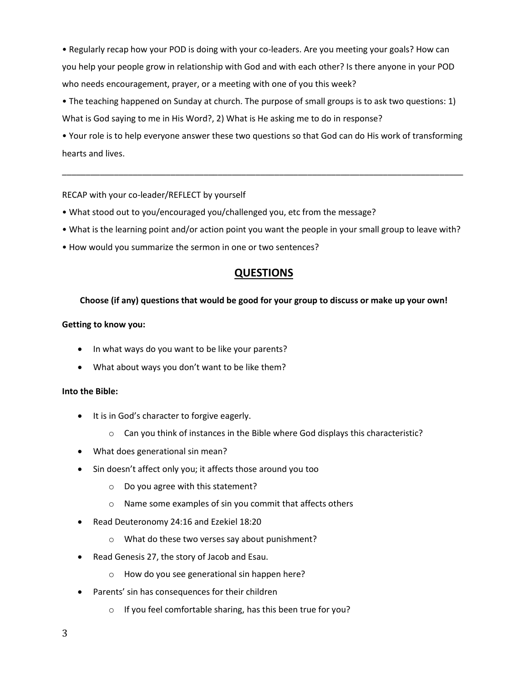• Regularly recap how your POD is doing with your co-leaders. Are you meeting your goals? How can you help your people grow in relationship with God and with each other? Is there anyone in your POD who needs encouragement, prayer, or a meeting with one of you this week?

• The teaching happened on Sunday at church. The purpose of small groups is to ask two questions: 1) What is God saying to me in His Word?, 2) What is He asking me to do in response?

• Your role is to help everyone answer these two questions so that God can do His work of transforming hearts and lives.

\_\_\_\_\_\_\_\_\_\_\_\_\_\_\_\_\_\_\_\_\_\_\_\_\_\_\_\_\_\_\_\_\_\_\_\_\_\_\_\_\_\_\_\_\_\_\_\_\_\_\_\_\_\_\_\_\_\_\_\_\_\_\_\_\_\_\_\_\_\_\_\_\_\_\_\_\_\_\_\_\_\_\_\_\_

### RECAP with your co-leader/REFLECT by yourself

- What stood out to you/encouraged you/challenged you, etc from the message?
- What is the learning point and/or action point you want the people in your small group to leave with?
- How would you summarize the sermon in one or two sentences?

# **QUESTIONS**

#### **Choose (if any) questions that would be good for your group to discuss or make up your own!**

#### **Getting to know you:**

- In what ways do you want to be like your parents?
- What about ways you don't want to be like them?

#### **Into the Bible:**

- It is in God's character to forgive eagerly.
	- $\circ$  Can you think of instances in the Bible where God displays this characteristic?
- What does generational sin mean?
- Sin doesn't affect only you; it affects those around you too
	- o Do you agree with this statement?
	- o Name some examples of sin you commit that affects others
- Read Deuteronomy 24:16 and Ezekiel 18:20
	- o What do these two verses say about punishment?
- Read Genesis 27, the story of Jacob and Esau.
	- o How do you see generational sin happen here?
- Parents' sin has consequences for their children
	- o If you feel comfortable sharing, has this been true for you?